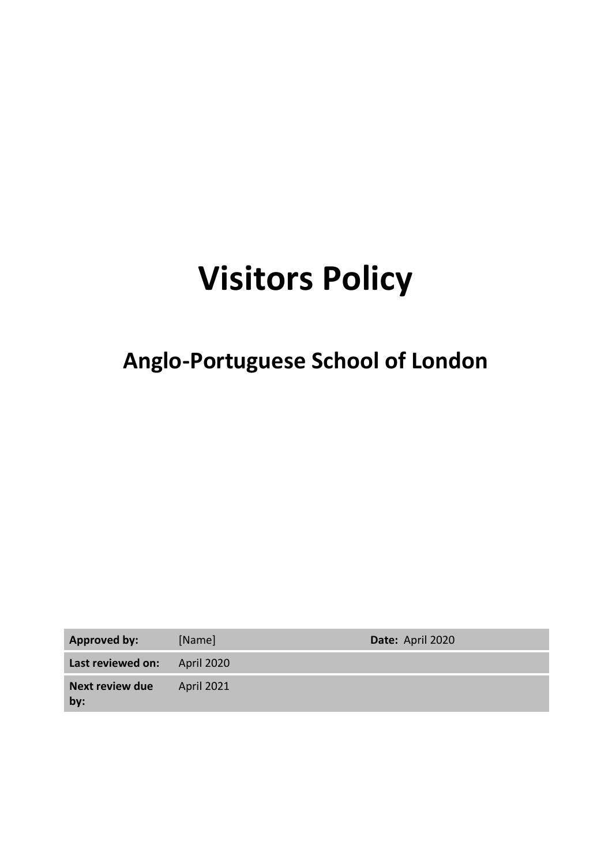# **Visitors Policy**

# **Anglo-Portuguese School of London**

| <b>Approved by:</b>           | [Name]            | Date: April 2020 |
|-------------------------------|-------------------|------------------|
| Last reviewed on:             | <b>April 2020</b> |                  |
| <b>Next review due</b><br>by: | <b>April 2021</b> |                  |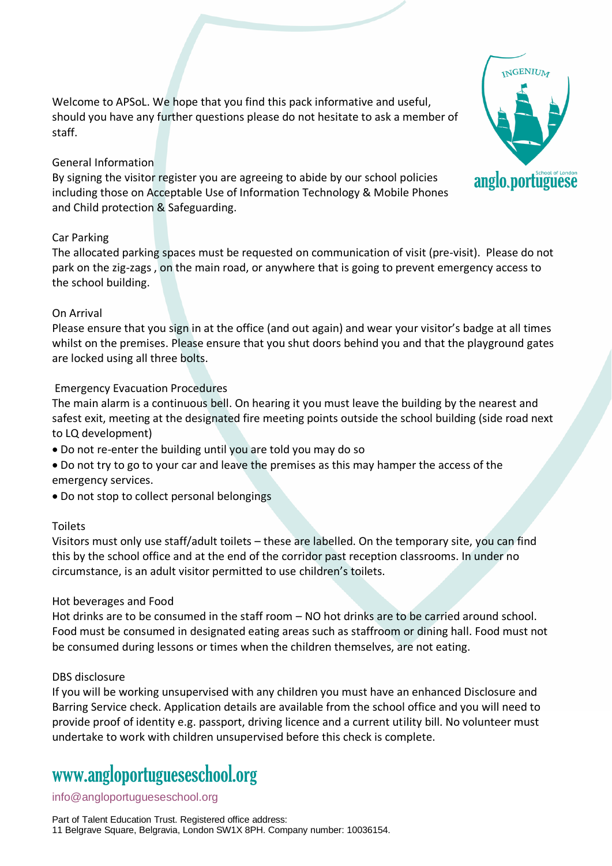Welcome to APSoL. We hope that you find this pack informative and useful, should you have any further questions please do not hesitate to ask a member of staff.

### General Information

By signing the visitor register you are agreeing to abide by our school policies including those on Acceptable Use of Information Technology & Mobile Phones and Child protection & Safeguarding.

### Car Parking

The allocated parking spaces must be requested on communication of visit (pre-visit). Please do not park on the zig-zags , on the main road, or anywhere that is going to prevent emergency access to the school building.

### On Arrival

Please ensure that you sign in at the office (and out again) and wear your visitor's badge at all times whilst on the premises. Please ensure that you shut doors behind you and that the playground gates are locked using all three bolts.

### Emergency Evacuation Procedures

The main alarm is a continuous bell. On hearing it you must leave the building by the nearest and safest exit, meeting at the designated fire meeting points outside the school building (side road next to LQ development)

- Do not re-enter the building until you are told you may do so
- Do not try to go to your car and leave the premises as this may hamper the access of the emergency services.
- Do not stop to collect personal belongings

### Toilets

Visitors must only use staff/adult toilets – these are labelled. On the temporary site, you can find this by the school office and at the end of the corridor past reception classrooms. In under no circumstance, is an adult visitor permitted to use children's toilets.

### Hot beverages and Food

Hot drinks are to be consumed in the staff room – NO hot drinks are to be carried around school. Food must be consumed in designated eating areas such as staffroom or dining hall. Food must not be consumed during lessons or times when the children themselves, are not eating.

### DBS disclosure

If you will be working unsupervised with any children you must have an enhanced Disclosure and Barring Service check. Application details are available from the school office and you will need to provide proof of identity e.g. passport, driving licence and a current utility bill. No volunteer must undertake to work with children unsupervised before this check is complete.

### www[.angloportugueseschool.org](https://angloportugueseschool.org/)

### [info@a](mailto:info@)ngloportugueseschool.org

Part of Talent Education Trust. Registered office address: 11 Belgrave Square, Belgravia, London SW1X 8PH. Company number: 10036154.

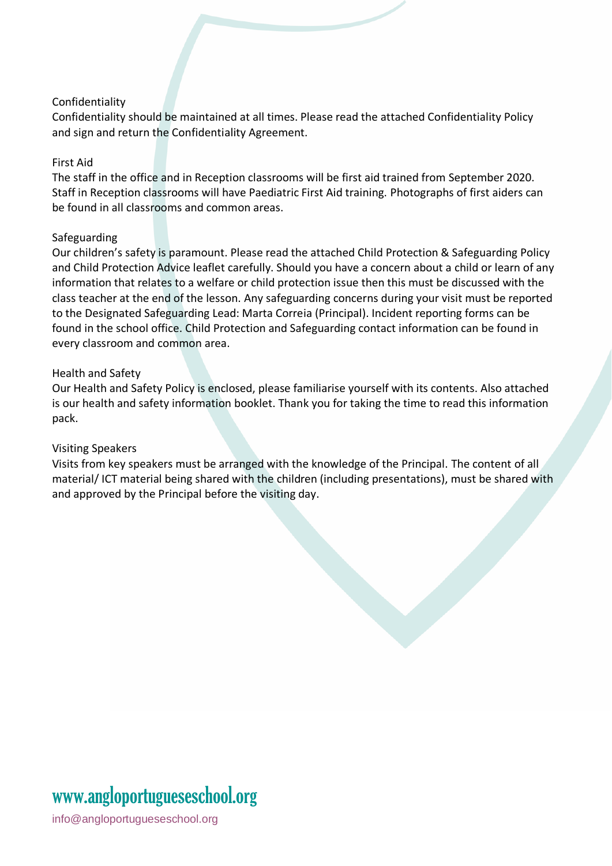### Confidentiality

Confidentiality should be maintained at all times. Please read the attached Confidentiality Policy and sign and return the Confidentiality Agreement.

### First Aid

The staff in the office and in Reception classrooms will be first aid trained from September 2020. Staff in Reception classrooms will have Paediatric First Aid training. Photographs of first aiders can be found in all classrooms and common areas.

### Safeguarding

Our children's safety is paramount. Please read the attached Child Protection & Safeguarding Policy and Child Protection Advice leaflet carefully. Should you have a concern about a child or learn of any information that relates to a welfare or child protection issue then this must be discussed with the class teacher at the end of the lesson. Any safeguarding concerns during your visit must be reported to the Designated Safeguarding Lead: Marta Correia (Principal). Incident reporting forms can be found in the school office. Child Protection and Safeguarding contact information can be found in every classroom and common area.

### Health and Safety

Our Health and Safety Policy is enclosed, please familiarise yourself with its contents. Also attached is our health and safety information booklet. Thank you for taking the time to read this information pack.

#### Visiting Speakers

Visits from key speakers must be arranged with the knowledge of the Principal. The content of all material/ ICT material being shared with the children (including presentations), must be shared with and approved by the Principal before the visiting day.

### www[.angloportugueseschool.org](https://angloportugueseschool.org/)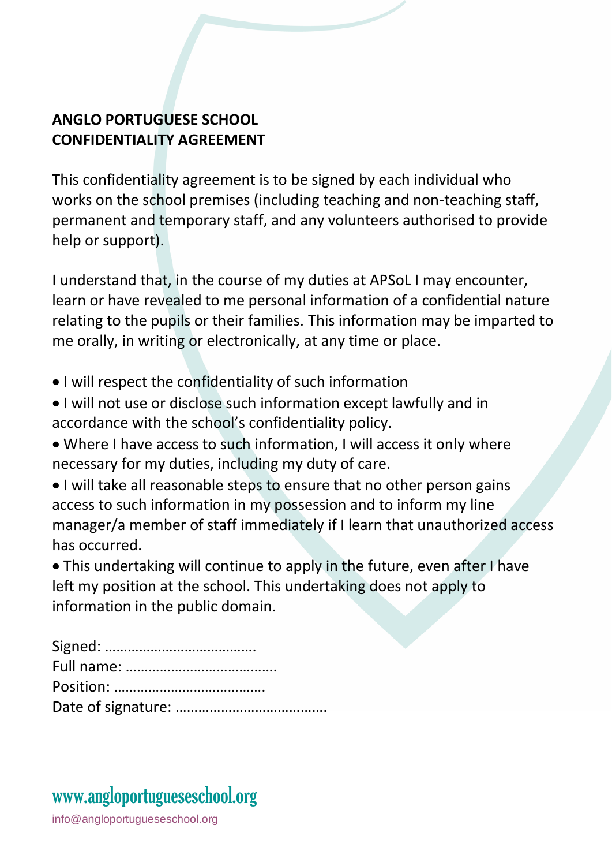### **ANGLO PORTUGUESE SCHOOL CONFIDENTIALITY AGREEMENT**

This confidentiality agreement is to be signed by each individual who works on the school premises (including teaching and non-teaching staff, permanent and temporary staff, and any volunteers authorised to provide help or support).

I understand that, in the course of my duties at APSoL I may encounter, learn or have revealed to me personal information of a confidential nature relating to the pupils or their families. This information may be imparted to me orally, in writing or electronically, at any time or place.

- I will respect the confidentiality of such information
- I will not use or disclose such information except lawfully and in accordance with the school's confidentiality policy.
- Where I have access to such information, I will access it only where necessary for my duties, including my duty of care.
- I will take all reasonable steps to ensure that no other person gains access to such information in my possession and to inform my line manager/a member of staff immediately if I learn that unauthorized access has occurred.

• This undertaking will continue to apply in the future, even after I have left my position at the school. This undertaking does not apply to information in the public domain.

## www[.angloportugueseschool.org](https://angloportugueseschool.org/)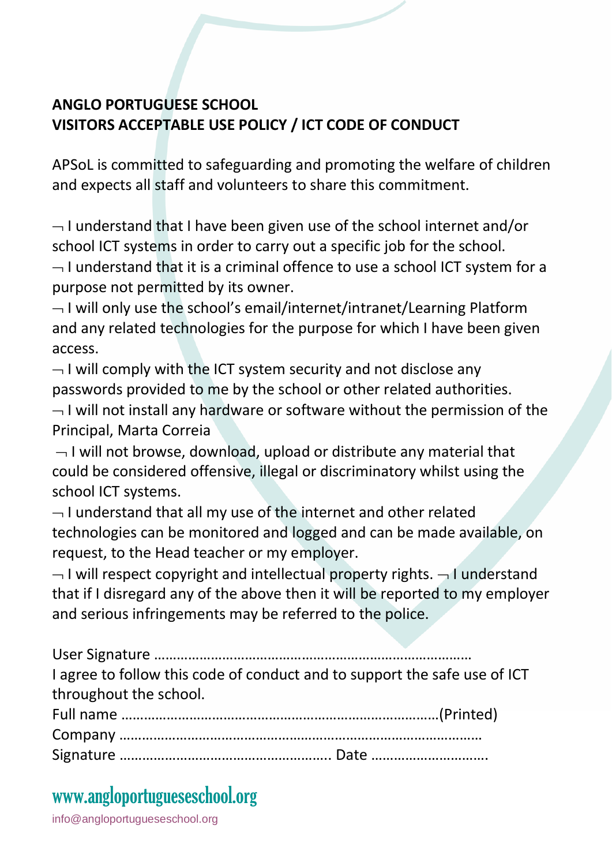### **ANGLO PORTUGUESE SCHOOL VISITORS ACCEPTABLE USE POLICY / ICT CODE OF CONDUCT**

APSoL is committed to safeguarding and promoting the welfare of children and expects all staff and volunteers to share this commitment.

 $\lnot$  I understand that I have been given use of the school internet and/or school ICT systems in order to carry out a specific job for the school.  $\neg$  I understand that it is a criminal offence to use a school ICT system for a purpose not permitted by its owner.

 $\neg$  I will only use the school's email/internet/intranet/Learning Platform and any related technologies for the purpose for which I have been given access.

 $\lnot$  I will comply with the ICT system security and not disclose any passwords provided to me by the school or other related authorities.

 $\lnot$  I will not install any hardware or software without the permission of the Principal, Marta Correia

 $\neg$  I will not browse, download, upload or distribute any material that could be considered offensive, illegal or discriminatory whilst using the school ICT systems.

 $\neg$  I understand that all my use of the internet and other related technologies can be monitored and logged and can be made available, on request, to the Head teacher or my employer.

 $\neg$  I will respect copyright and intellectual property rights.  $\neg$  I understand that if I disregard any of the above then it will be reported to my employer and serious infringements may be referred to the police.

User Signature ………………………………………………………………………… I agree to follow this code of conduct and to support the safe use of ICT throughout the school.

### www[.angloportugueseschool.org](https://angloportugueseschool.org/)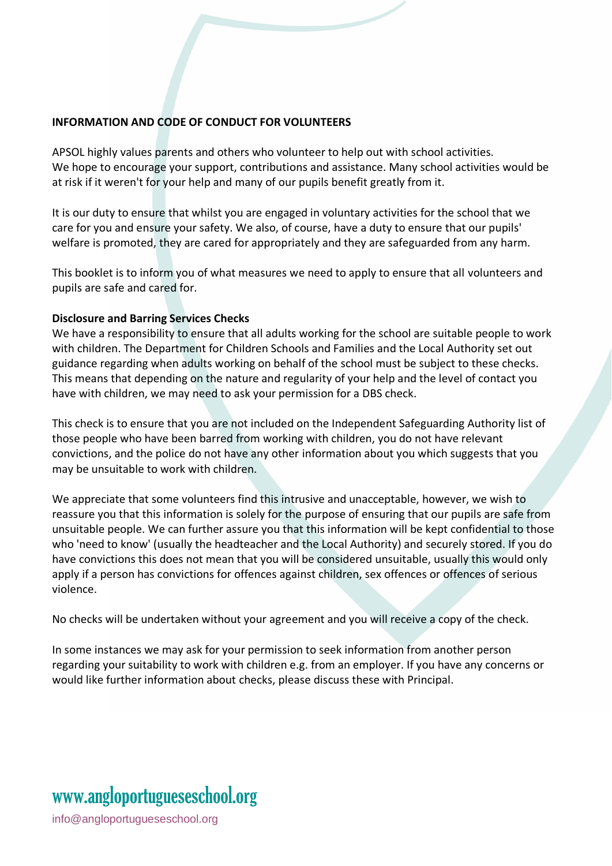### **INFORMATION AND CODE OF CONDUCT FOR VOLUNTEERS**

APSOL highly values parents and others who volunteer to help out with school activities. We hope to encourage your support, contributions and assistance. Many school activities would be at risk if it weren't for your help and many of our pupils benefit greatly from it.

It is our duty to ensure that whilst you are engaged in voluntary activities for the school that we care for you and ensure your safety. We also, of course, have a duty to ensure that our pupils' welfare is promoted, they are cared for appropriately and they are safeguarded from any harm.

This booklet is to inform you of what measures we need to apply to ensure that all volunteers and pupils are safe and cared for.

#### **Disclosure and Barring Services Checks**

We have a responsibility to ensure that all adults working for the school are suitable people to work with children. The Department for Children Schools and Families and the Local Authority set out guidance regarding when adults working on behalf of the school must be subject to these checks. This means that depending on the nature and regularity of your help and the level of contact you have with children, we may need to ask your permission for a DBS check.

This check is to ensure that you are not included on the Independent Safeguarding Authority list of those people who have been barred from working with children, you do not have relevant convictions, and the police do not have any other information about you which suggests that you may be unsuitable to work with children.

We appreciate that some volunteers find this intrusive and unacceptable, however, we wish to reassure you that this information is solely for the purpose of ensuring that our pupils are safe from unsuitable people. We can further assure you that this information will be kept confidential to those who 'need to know' (usually the headteacher and the Local Authority) and securely stored. If you do have convictions this does not mean that you will be considered unsuitable, usually this would only apply if a person has convictions for offences against children, sex offences or offences of serious violence.

No checks will be undertaken without your agreement and you will receive a copy of the check.

In some instances we may ask for your permission to seek information from another person regarding your suitability to work with children e.g. from an employer. If you have any concerns or would like further information about checks, please discuss these with Principal.

## www[.angloportugueseschool.org](https://angloportugueseschool.org/)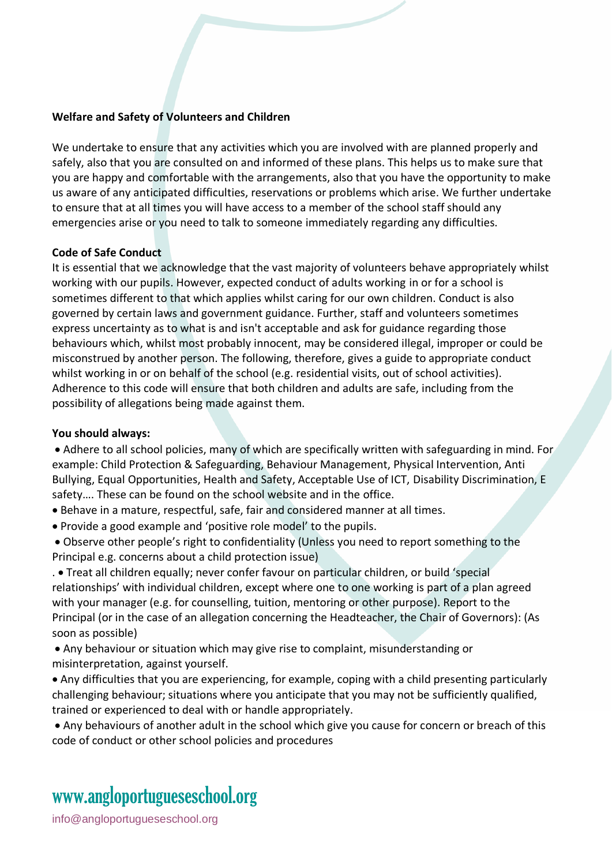#### **Welfare and Safety of Volunteers and Children**

We undertake to ensure that any activities which you are involved with are planned properly and safely, also that you are consulted on and informed of these plans. This helps us to make sure that you are happy and comfortable with the arrangements, also that you have the opportunity to make us aware of any anticipated difficulties, reservations or problems which arise. We further undertake to ensure that at all times you will have access to a member of the school staff should any emergencies arise or you need to talk to someone immediately regarding any difficulties.

### **Code of Safe Conduct**

It is essential that we acknowledge that the vast majority of volunteers behave appropriately whilst working with our pupils. However, expected conduct of adults working in or for a school is sometimes different to that which applies whilst caring for our own children. Conduct is also governed by certain laws and government guidance. Further, staff and volunteers sometimes express uncertainty as to what is and isn't acceptable and ask for guidance regarding those behaviours which, whilst most probably innocent, may be considered illegal, improper or could be misconstrued by another person. The following, therefore, gives a guide to appropriate conduct whilst working in or on behalf of the school (e.g. residential visits, out of school activities). Adherence to this code will ensure that both children and adults are safe, including from the possibility of allegations being made against them.

#### **You should always:**

• Adhere to all school policies, many of which are specifically written with safeguarding in mind. For example: Child Protection & Safeguarding, Behaviour Management, Physical Intervention, Anti Bullying, Equal Opportunities, Health and Safety, Acceptable Use of ICT, Disability Discrimination, E safety…. These can be found on the school website and in the office.

- Behave in a mature, respectful, safe, fair and considered manner at all times.
- Provide a good example and 'positive role model' to the pupils.

• Observe other people's right to confidentiality (Unless you need to report something to the Principal e.g. concerns about a child protection issue)

. • Treat all children equally; never confer favour on particular children, or build 'special relationships' with individual children, except where one to one working is part of a plan agreed with your manager (e.g. for counselling, tuition, mentoring or other purpose). Report to the Principal (or in the case of an allegation concerning the Headteacher, the Chair of Governors): (As soon as possible)

• Any behaviour or situation which may give rise to complaint, misunderstanding or misinterpretation, against yourself.

• Any difficulties that you are experiencing, for example, coping with a child presenting particularly challenging behaviour; situations where you anticipate that you may not be sufficiently qualified, trained or experienced to deal with or handle appropriately.

• Any behaviours of another adult in the school which give you cause for concern or breach of this code of conduct or other school policies and procedures

### www[.angloportugueseschool.org](https://angloportugueseschool.org/)